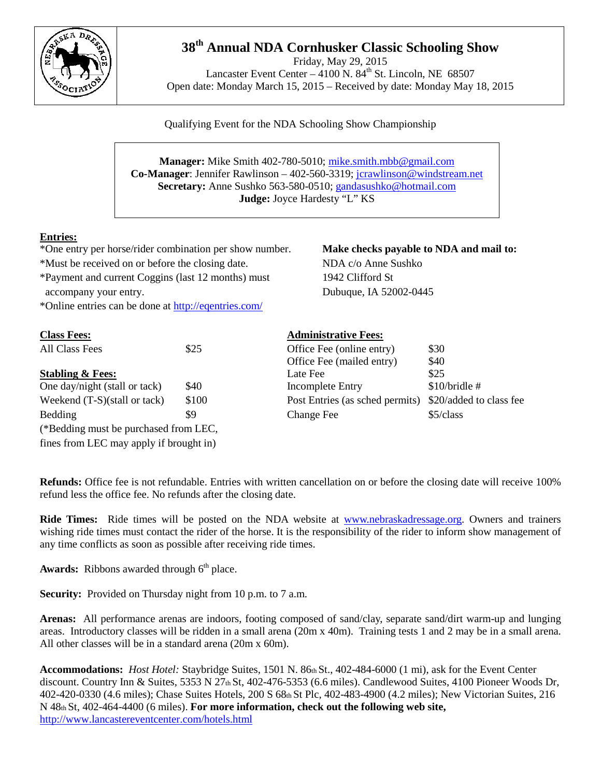

## **38th Annual NDA Cornhusker Classic Schooling Show**

Friday, May 29, 2015 Lancaster Event Center –  $4100$  N.  $84<sup>th</sup>$  St. Lincoln, NE 68507 Open date: Monday March 15, 2015 – Received by date: Monday May 18, 2015

Qualifying Event for the NDA Schooling Show Championship

**Manager:** Mike Smith 402-780-5010; [mike.smith.mbb@gmail.com](mailto:mike.smith.mbb@gmail.com) **Co-Manager**: Jennifer Rawlinson – 402-560-3319; jcrawlinson@windstream.net **Secretary:** Anne Sushko 563-580-0510; [gandasushko@hotmail.com](mailto:gandasushko@hotmail.com) **Judge:** Joyce Hardesty "L" KS

## **Entries:**

\*One entry per horse/rider combination per show number. **Make checks payable to NDA and mail to:** \*Must be received on or before the closing date. NDA c/o Anne Sushko \*Payment and current Coggins (last 12 months) must 1942 Clifford St accompany your entry. Dubuque, IA 52002-0445

\*Online entries can be done a[t http://eqentries.com/](http://eqentries.com/)

| <b>Class Fees:</b>                                    |       | <b>Administrative Fees:</b>     |                         |
|-------------------------------------------------------|-------|---------------------------------|-------------------------|
| All Class Fees                                        | \$25  | Office Fee (online entry)       | \$30                    |
|                                                       |       | Office Fee (mailed entry)       | \$40                    |
| <b>Stabling &amp; Fees:</b>                           |       | Late Fee                        | \$25                    |
| One day/night (stall or tack)                         | \$40  | <b>Incomplete Entry</b>         | $$10/b$ ridle #         |
| Weekend $(T-S)(\text{stall} \text{ or } \text{tack})$ | \$100 | Post Entries (as sched permits) | \$20/added to class fee |
| Bedding                                               | \$9   | <b>Change Fee</b>               | \$5/class               |
| (*Bedding must be purchased from LEC,                 |       |                                 |                         |
| fines from LEC may apply if brought in)               |       |                                 |                         |

**Refunds:** Office fee is not refundable. Entries with written cancellation on or before the closing date will receive 100% refund less the office fee. No refunds after the closing date.

**Ride Times:** Ride times will be posted on the NDA website at [www.nebraskadressage.org.](http://www.nebraskadressage.org/) Owners and trainers wishing ride times must contact the rider of the horse. It is the responsibility of the rider to inform show management of any time conflicts as soon as possible after receiving ride times.

Awards: Ribbons awarded through 6<sup>th</sup> place.

**Security:** Provided on Thursday night from 10 p.m. to 7 a.m.

**Arenas:** All performance arenas are indoors, footing composed of sand/clay, separate sand/dirt warm-up and lunging areas. Introductory classes will be ridden in a small arena (20m x 40m). Training tests 1 and 2 may be in a small arena. All other classes will be in a standard arena (20m x 60m).

Accommodations: *Host Hotel:* Staybridge Suites, 1501 N. 86th St., 402-484-6000 (1 mi), ask for the Event Center discount. Country Inn & Suites, 5353 N 27th St, 402-476-5353 (6.6 miles). Candlewood Suites, 4100 Pioneer Woods Dr, 402-420-0330 (4.6 miles); Chase Suites Hotels, 200 S 68th St Plc, 402-483-4900 (4.2 miles); New Victorian Suites, 216 N 48th St, 402-464-4400 (6 miles). **For more information, check out the following web site,**  <http://www.lancastereventcenter.com/hotels.html>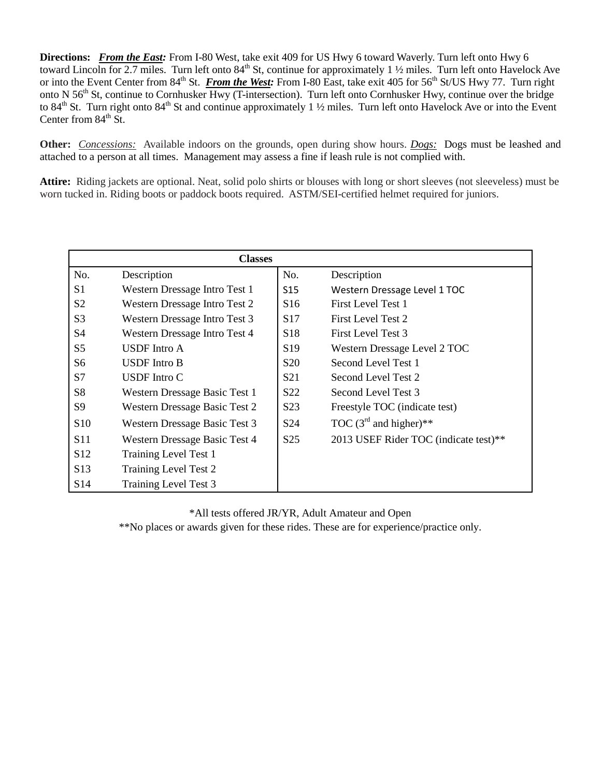**Directions:** *From the East:* From I-80 West, take exit 409 for US Hwy 6 toward Waverly. Turn left onto Hwy 6 toward Lincoln for 2.7 miles. Turn left onto 84<sup>th</sup> St, continue for approximately 1 ½ miles. Turn left onto Havelock Ave or into the Event Center from 84<sup>th</sup> St. *From the West:* From I-80 East, take exit 405 for 56<sup>th</sup> St/US Hwy 77. Turn right onto N 56<sup>th</sup> St, continue to Cornhusker Hwy (T-intersection). Turn left onto Cornhusker Hwy, continue over the bridge to 84<sup>th</sup> St. Turn right onto 84<sup>th</sup> St and continue approximately 1  $\frac{1}{2}$  miles. Turn left onto Havelock Ave or into the Event Center from  $84<sup>th</sup>$  St.

**Other:** *Concessions:*Available indoors on the grounds, open during show hours. *Dogs:*Dogs must be leashed and attached to a person at all times. Management may assess a fine if leash rule is not complied with.

**Attire:** Riding jackets are optional. Neat, solid polo shirts or blouses with long or short sleeves (not sleeveless) must be worn tucked in. Riding boots or paddock boots required. ASTM/SEI-certified helmet required for juniors.

| <b>Classes</b>  |                               |                  |                                       |  |
|-----------------|-------------------------------|------------------|---------------------------------------|--|
| No.             | Description                   | No.              | Description                           |  |
| S1              | Western Dressage Intro Test 1 | S <sub>15</sub>  | Western Dressage Level 1 TOC          |  |
| S <sub>2</sub>  | Western Dressage Intro Test 2 | S <sub>16</sub>  | First Level Test 1                    |  |
| S <sub>3</sub>  | Western Dressage Intro Test 3 | S <sub>17</sub>  | First Level Test 2                    |  |
| S <sub>4</sub>  | Western Dressage Intro Test 4 | S <sub>18</sub>  | First Level Test 3                    |  |
| S <sub>5</sub>  | <b>USDF</b> Intro A           | S <sub>19</sub>  | Western Dressage Level 2 TOC          |  |
| S <sub>6</sub>  | USDF Intro B                  | S <sub>20</sub>  | Second Level Test 1                   |  |
| S7              | USDF Intro C                  | S <sub>21</sub>  | Second Level Test 2                   |  |
| S <sub>8</sub>  | Western Dressage Basic Test 1 | S <sub>22</sub>  | Second Level Test 3                   |  |
| S <sub>9</sub>  | Western Dressage Basic Test 2 | S <sub>2</sub> 3 | Freestyle TOC (indicate test)         |  |
| S <sub>10</sub> | Western Dressage Basic Test 3 | S <sub>24</sub>  | TOC $(3^{rd}$ and higher)**           |  |
| S <sub>11</sub> | Western Dressage Basic Test 4 | S <sub>25</sub>  | 2013 USEF Rider TOC (indicate test)** |  |
| S <sub>12</sub> | Training Level Test 1         |                  |                                       |  |
| S <sub>13</sub> | Training Level Test 2         |                  |                                       |  |
| S <sub>14</sub> | Training Level Test 3         |                  |                                       |  |

\*All tests offered JR/YR, Adult Amateur and Open

\*\*No places or awards given for these rides. These are for experience/practice only.